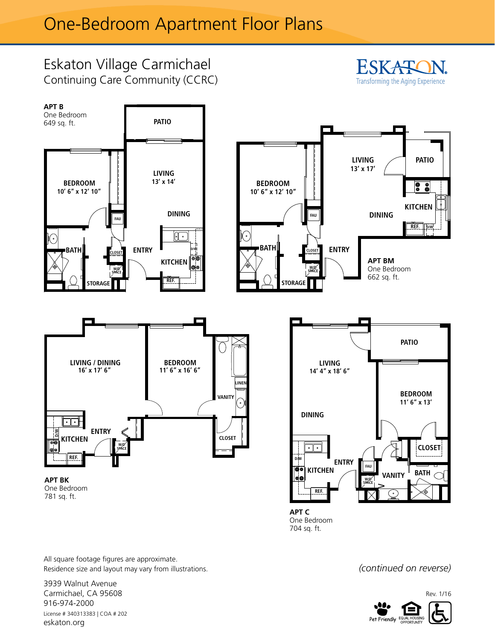## One-Bedroom Apartment Floor Plans



One Bedroom 704 sq. ft.

*(continued on reverse)*



All square footage figures are approximate. Residence size and layout may vary from illustrations.

3939 Walnut Avenue Carmichael, CA 95608 916-974-2000 License # 340313383 | COA # 202 eskaton.org

Rev. 1/16